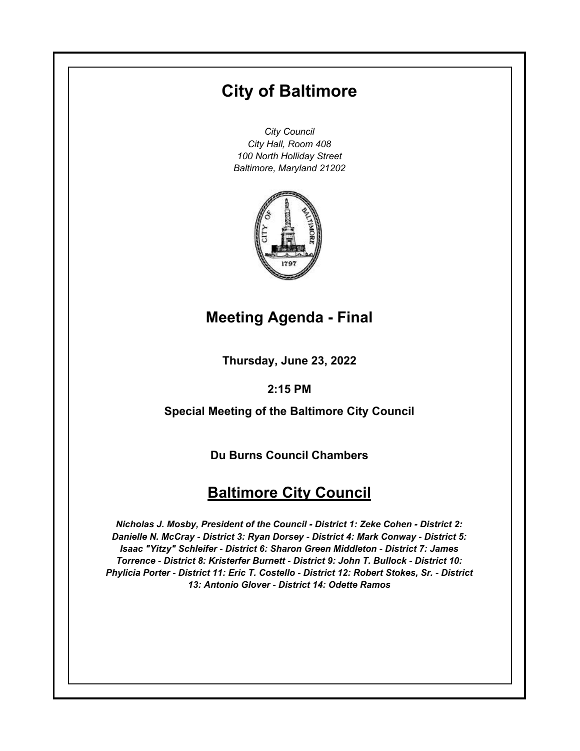# **City of Baltimore**

*City Council City Hall, Room 408 100 North Holliday Street Baltimore, Maryland 21202*



## **Meeting Agenda - Final**

**Thursday, June 23, 2022**

### **2:15 PM**

**Special Meeting of the Baltimore City Council**

**Du Burns Council Chambers**

## **Baltimore City Council**

*Nicholas J. Mosby, President of the Council - District 1: Zeke Cohen - District 2: Danielle N. McCray - District 3: Ryan Dorsey - District 4: Mark Conway - District 5: Isaac "Yitzy" Schleifer - District 6: Sharon Green Middleton - District 7: James Torrence - District 8: Kristerfer Burnett - District 9: John T. Bullock - District 10: Phylicia Porter - District 11: Eric T. Costello - District 12: Robert Stokes, Sr. - District 13: Antonio Glover - District 14: Odette Ramos*